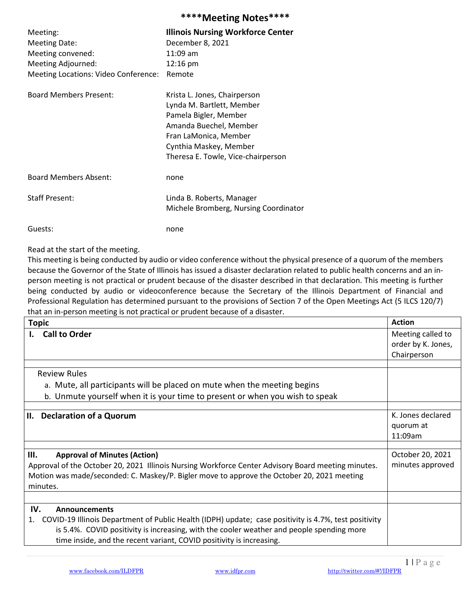|                                      | 111221115112222                                                                                                                                                                                       |
|--------------------------------------|-------------------------------------------------------------------------------------------------------------------------------------------------------------------------------------------------------|
| Meeting:                             | <b>Illinois Nursing Workforce Center</b>                                                                                                                                                              |
| <b>Meeting Date:</b>                 | December 8, 2021                                                                                                                                                                                      |
| Meeting convened:                    | $11:09$ am                                                                                                                                                                                            |
| Meeting Adjourned:                   | 12:16 pm                                                                                                                                                                                              |
| Meeting Locations: Video Conference: | Remote                                                                                                                                                                                                |
| <b>Board Members Present:</b>        | Krista L. Jones, Chairperson<br>Lynda M. Bartlett, Member<br>Pamela Bigler, Member<br>Amanda Buechel, Member<br>Fran LaMonica, Member<br>Cynthia Maskey, Member<br>Theresa E. Towle, Vice-chairperson |
| <b>Board Members Absent:</b>         | none                                                                                                                                                                                                  |
| <b>Staff Present:</b>                | Linda B. Roberts, Manager<br>Michele Bromberg, Nursing Coordinator                                                                                                                                    |
| Guests:                              | none                                                                                                                                                                                                  |

Read at the start of the meeting.

This meeting is being conducted by audio or video conference without the physical presence of a quorum of the members because the Governor of the State of Illinois has issued a disaster declaration related to public health concerns and an inperson meeting is not practical or prudent because of the disaster described in that declaration. This meeting is further being conducted by audio or videoconference because the Secretary of the Illinois Department of Financial and Professional Regulation has determined pursuant to the provisions of Section 7 of the Open Meetings Act (5 ILCS 120/7) that an in-person meeting is not practical or prudent because of a disaster.

\*\*\*\*Meeting Notes\*\*\*\*

| <b>Topic</b>                                                                                                | <b>Action</b>                             |
|-------------------------------------------------------------------------------------------------------------|-------------------------------------------|
| <b>Call to Order</b><br>L.                                                                                  | Meeting called to                         |
|                                                                                                             | order by K. Jones,                        |
|                                                                                                             | Chairperson                               |
|                                                                                                             |                                           |
| <b>Review Rules</b>                                                                                         |                                           |
| a. Mute, all participants will be placed on mute when the meeting begins                                    |                                           |
| b. Unmute yourself when it is your time to present or when you wish to speak                                |                                           |
|                                                                                                             |                                           |
| II.<br><b>Declaration of a Quorum</b>                                                                       | K. Jones declared<br>quorum at<br>11:09am |
|                                                                                                             |                                           |
| Ш.<br><b>Approval of Minutes (Action)</b>                                                                   | October 20, 2021                          |
| Approval of the October 20, 2021 Illinois Nursing Workforce Center Advisory Board meeting minutes.          | minutes approved                          |
| Motion was made/seconded: C. Maskey/P. Bigler move to approve the October 20, 2021 meeting                  |                                           |
| minutes.                                                                                                    |                                           |
|                                                                                                             |                                           |
| IV.<br><b>Announcements</b>                                                                                 |                                           |
| COVID-19 Illinois Department of Public Health (IDPH) update; case positivity is 4.7%, test positivity<br>1. |                                           |
| is 5.4%. COVID positivity is increasing, with the cooler weather and people spending more                   |                                           |
| time inside, and the recent variant, COVID positivity is increasing.                                        |                                           |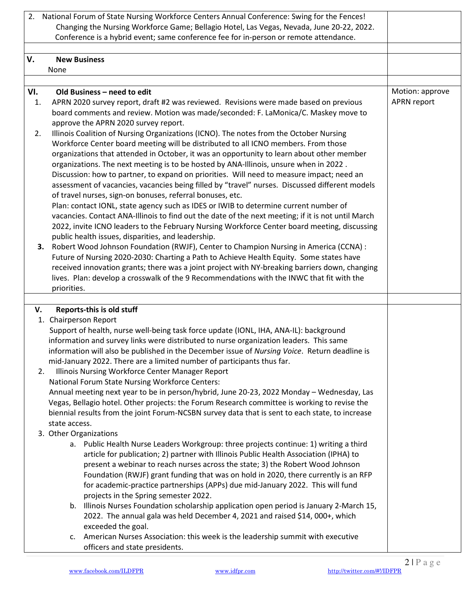| 2.  | National Forum of State Nursing Workforce Centers Annual Conference: Swing for the Fences!<br>Changing the Nursing Workforce Game; Bellagio Hotel, Las Vegas, Nevada, June 20-22, 2022. |                    |
|-----|-----------------------------------------------------------------------------------------------------------------------------------------------------------------------------------------|--------------------|
|     | Conference is a hybrid event; same conference fee for in-person or remote attendance.                                                                                                   |                    |
|     |                                                                                                                                                                                         |                    |
| V.  | <b>New Business</b>                                                                                                                                                                     |                    |
|     | None                                                                                                                                                                                    |                    |
|     |                                                                                                                                                                                         |                    |
| VI. | Old Business - need to edit                                                                                                                                                             | Motion: approve    |
| 1.  | APRN 2020 survey report, draft #2 was reviewed. Revisions were made based on previous                                                                                                   | <b>APRN</b> report |
|     | board comments and review. Motion was made/seconded: F. LaMonica/C. Maskey move to                                                                                                      |                    |
| 2.  | approve the APRN 2020 survey report.<br>Illinois Coalition of Nursing Organizations (ICNO). The notes from the October Nursing                                                          |                    |
|     | Workforce Center board meeting will be distributed to all ICNO members. From those                                                                                                      |                    |
|     | organizations that attended in October, it was an opportunity to learn about other member                                                                                               |                    |
|     | organizations. The next meeting is to be hosted by ANA-Illinois, unsure when in 2022.                                                                                                   |                    |
|     | Discussion: how to partner, to expand on priorities. Will need to measure impact; need an                                                                                               |                    |
|     | assessment of vacancies, vacancies being filled by "travel" nurses. Discussed different models                                                                                          |                    |
|     | of travel nurses, sign-on bonuses, referral bonuses, etc.                                                                                                                               |                    |
|     | Plan: contact IONL, state agency such as IDES or IWIB to determine current number of                                                                                                    |                    |
|     | vacancies. Contact ANA-Illinois to find out the date of the next meeting; if it is not until March                                                                                      |                    |
|     | 2022, invite ICNO leaders to the February Nursing Workforce Center board meeting, discussing                                                                                            |                    |
|     | public health issues, disparities, and leadership.<br>Robert Wood Johnson Foundation (RWJF), Center to Champion Nursing in America (CCNA) :                                             |                    |
|     | З.<br>Future of Nursing 2020-2030: Charting a Path to Achieve Health Equity. Some states have                                                                                           |                    |
|     | received innovation grants; there was a joint project with NY-breaking barriers down, changing                                                                                          |                    |
|     | lives. Plan: develop a crosswalk of the 9 Recommendations with the INWC that fit with the                                                                                               |                    |
|     | priorities.                                                                                                                                                                             |                    |
|     |                                                                                                                                                                                         |                    |
|     | Reports-this is old stuff<br>V.                                                                                                                                                         |                    |
|     | 1. Chairperson Report                                                                                                                                                                   |                    |
|     | Support of health, nurse well-being task force update (IONL, IHA, ANA-IL): background                                                                                                   |                    |
|     | information and survey links were distributed to nurse organization leaders. This same                                                                                                  |                    |
|     | information will also be published in the December issue of Nursing Voice. Return deadline is<br>mid-January 2022. There are a limited number of participants thus far.                 |                    |
|     | Illinois Nursing Workforce Center Manager Report<br>2.                                                                                                                                  |                    |
|     | National Forum State Nursing Workforce Centers:                                                                                                                                         |                    |
|     | Annual meeting next year to be in person/hybrid, June 20-23, 2022 Monday - Wednesday, Las                                                                                               |                    |
|     | Vegas, Bellagio hotel. Other projects: the Forum Research committee is working to revise the                                                                                            |                    |
|     | biennial results from the joint Forum-NCSBN survey data that is sent to each state, to increase                                                                                         |                    |
|     | state access.                                                                                                                                                                           |                    |
|     | 3. Other Organizations                                                                                                                                                                  |                    |
|     | a. Public Health Nurse Leaders Workgroup: three projects continue: 1) writing a third                                                                                                   |                    |
|     | article for publication; 2) partner with Illinois Public Health Association (IPHA) to                                                                                                   |                    |
|     | present a webinar to reach nurses across the state; 3) the Robert Wood Johnson                                                                                                          |                    |
|     | Foundation (RWJF) grant funding that was on hold in 2020, there currently is an RFP                                                                                                     |                    |
|     | for academic-practice partnerships (APPs) due mid-January 2022. This will fund                                                                                                          |                    |
|     | projects in the Spring semester 2022.<br>b. Illinois Nurses Foundation scholarship application open period is January 2-March 15,                                                       |                    |
|     | 2022. The annual gala was held December 4, 2021 and raised \$14, 000+, which                                                                                                            |                    |
|     | exceeded the goal.                                                                                                                                                                      |                    |
|     | c. American Nurses Association: this week is the leadership summit with executive                                                                                                       |                    |
|     | officers and state presidents.                                                                                                                                                          |                    |